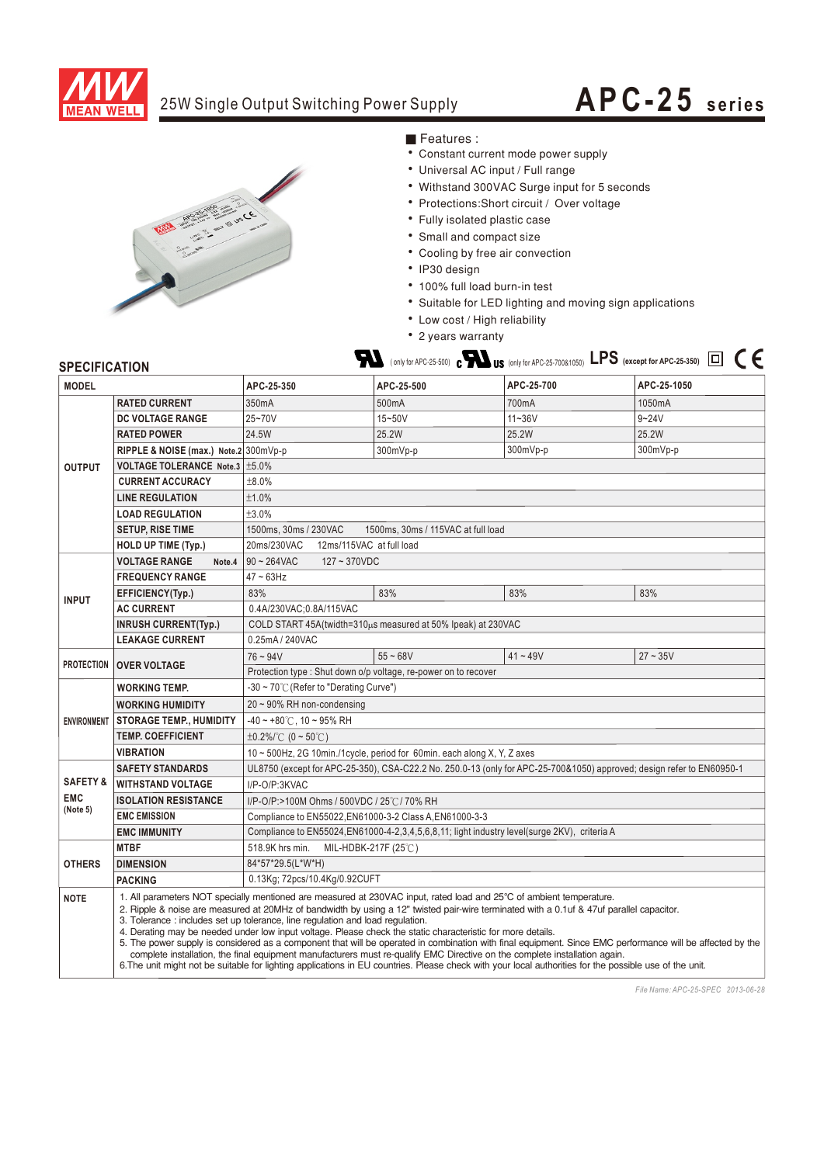

### 25W Single Output Switching Power Supply

# **APC-25 seri es**



#### ■ Features :

- ‧Constant current mode power supply
- ‧Universal AC input / Full range
- ‧Withstand 300VAC Surge input for 5 seconds
- Protections: Short circuit / Over voltage
- ‧Fully isolated plastic case
- ‧Small and compact size
- ‧Cooling by free air convection
- ‧IP30 design
- ‧100% full load burn-in test
- ‧Suitable for LED lighting and moving sign applications
- ‧Low cost / High reliability
- ‧2 years warranty

#### **SPECIFICATION**

| <b>MODEL</b>              |                                                                                                                                                                                              | APC-25-350                                                                                                            | APC-25-500         | APC-25-700                                                                                                                                                                                                                                                                                                                                                                                                                                                                                                                                               | APC-25-1050                                                                                                                                               |
|---------------------------|----------------------------------------------------------------------------------------------------------------------------------------------------------------------------------------------|-----------------------------------------------------------------------------------------------------------------------|--------------------|----------------------------------------------------------------------------------------------------------------------------------------------------------------------------------------------------------------------------------------------------------------------------------------------------------------------------------------------------------------------------------------------------------------------------------------------------------------------------------------------------------------------------------------------------------|-----------------------------------------------------------------------------------------------------------------------------------------------------------|
| <b>OUTPUT</b>             | <b>RATED CURRENT</b>                                                                                                                                                                         | 350mA                                                                                                                 | 500 <sub>m</sub> A | 700mA                                                                                                                                                                                                                                                                                                                                                                                                                                                                                                                                                    | 1050mA                                                                                                                                                    |
|                           | DC VOLTAGE RANGE                                                                                                                                                                             | 25~70V                                                                                                                | 15~50V             | $11 - 36V$                                                                                                                                                                                                                                                                                                                                                                                                                                                                                                                                               | $9 - 24V$                                                                                                                                                 |
|                           | <b>RATED POWER</b>                                                                                                                                                                           | 24.5W                                                                                                                 | 25.2W              | 25.2W                                                                                                                                                                                                                                                                                                                                                                                                                                                                                                                                                    | 25.2W                                                                                                                                                     |
|                           | RIPPLE & NOISE (max.) Note.2 300mVp-p                                                                                                                                                        |                                                                                                                       | 300mVp-p           | 300mVp-p                                                                                                                                                                                                                                                                                                                                                                                                                                                                                                                                                 | 300mVp-p                                                                                                                                                  |
|                           | VOLTAGE TOLERANCE Note.3   ±5.0%                                                                                                                                                             |                                                                                                                       |                    |                                                                                                                                                                                                                                                                                                                                                                                                                                                                                                                                                          |                                                                                                                                                           |
|                           | <b>CURRENT ACCURACY</b>                                                                                                                                                                      | ±8.0%                                                                                                                 |                    |                                                                                                                                                                                                                                                                                                                                                                                                                                                                                                                                                          |                                                                                                                                                           |
|                           | <b>LINE REGULATION</b>                                                                                                                                                                       | ±1.0%                                                                                                                 |                    |                                                                                                                                                                                                                                                                                                                                                                                                                                                                                                                                                          |                                                                                                                                                           |
|                           | <b>LOAD REGULATION</b>                                                                                                                                                                       | ±3.0%                                                                                                                 |                    |                                                                                                                                                                                                                                                                                                                                                                                                                                                                                                                                                          |                                                                                                                                                           |
|                           | <b>SETUP, RISE TIME</b>                                                                                                                                                                      | 1500ms, 30ms / 230VAC<br>1500ms, 30ms / 115VAC at full load                                                           |                    |                                                                                                                                                                                                                                                                                                                                                                                                                                                                                                                                                          |                                                                                                                                                           |
|                           | HOLD UP TIME (Typ.)                                                                                                                                                                          | 20ms/230VAC<br>12ms/115VAC at full load                                                                               |                    |                                                                                                                                                                                                                                                                                                                                                                                                                                                                                                                                                          |                                                                                                                                                           |
| <b>INPUT</b>              | <b>VOLTAGE RANGE</b><br>Note.4                                                                                                                                                               | $90 - 264$ VAC<br>$127 - 370$ VDC                                                                                     |                    |                                                                                                                                                                                                                                                                                                                                                                                                                                                                                                                                                          |                                                                                                                                                           |
|                           | <b>FREQUENCY RANGE</b>                                                                                                                                                                       | $47 \sim 63$ Hz                                                                                                       |                    |                                                                                                                                                                                                                                                                                                                                                                                                                                                                                                                                                          |                                                                                                                                                           |
|                           | EFFICIENCY(Typ.)                                                                                                                                                                             | 83%                                                                                                                   | 83%                | 83%                                                                                                                                                                                                                                                                                                                                                                                                                                                                                                                                                      | 83%                                                                                                                                                       |
|                           | <b>AC CURRENT</b>                                                                                                                                                                            | 0.4A/230VAC;0.8A/115VAC                                                                                               |                    |                                                                                                                                                                                                                                                                                                                                                                                                                                                                                                                                                          |                                                                                                                                                           |
|                           | <b>INRUSH CURRENT(Typ.)</b>                                                                                                                                                                  | COLD START 45A(twidth=310µs measured at 50% Ipeak) at 230VAC                                                          |                    |                                                                                                                                                                                                                                                                                                                                                                                                                                                                                                                                                          |                                                                                                                                                           |
|                           | <b>LEAKAGE CURRENT</b>                                                                                                                                                                       | 0.25mA / 240VAC                                                                                                       |                    |                                                                                                                                                                                                                                                                                                                                                                                                                                                                                                                                                          |                                                                                                                                                           |
| PROTECTION   OVER VOLTAGE |                                                                                                                                                                                              | $76 - 94V$                                                                                                            | $55 - 68V$         | $41 - 49V$                                                                                                                                                                                                                                                                                                                                                                                                                                                                                                                                               | $27 - 35V$                                                                                                                                                |
|                           |                                                                                                                                                                                              | Protection type : Shut down o/p voltage, re-power on to recover                                                       |                    |                                                                                                                                                                                                                                                                                                                                                                                                                                                                                                                                                          |                                                                                                                                                           |
| <b>ENVIRONMENT</b>        | <b>WORKING TEMP.</b>                                                                                                                                                                         | -30 ~ 70°C (Refer to "Derating Curve")                                                                                |                    |                                                                                                                                                                                                                                                                                                                                                                                                                                                                                                                                                          |                                                                                                                                                           |
|                           | <b>WORKING HUMIDITY</b>                                                                                                                                                                      | $20 \sim 90\%$ RH non-condensing                                                                                      |                    |                                                                                                                                                                                                                                                                                                                                                                                                                                                                                                                                                          |                                                                                                                                                           |
|                           | <b>STORAGE TEMP., HUMIDITY</b>                                                                                                                                                               | $-40 \sim +80^{\circ}$ C, 10 ~ 95% RH                                                                                 |                    |                                                                                                                                                                                                                                                                                                                                                                                                                                                                                                                                                          |                                                                                                                                                           |
|                           | <b>TEMP, COEFFICIENT</b>                                                                                                                                                                     | $\pm 0.2\%$ / °C (0 ~ 50 °C)                                                                                          |                    |                                                                                                                                                                                                                                                                                                                                                                                                                                                                                                                                                          |                                                                                                                                                           |
|                           | <b>VIBRATION</b>                                                                                                                                                                             | 10 ~ 500Hz, 2G 10min./1cycle, period for 60min. each along X, Y, Z axes                                               |                    |                                                                                                                                                                                                                                                                                                                                                                                                                                                                                                                                                          |                                                                                                                                                           |
|                           | <b>SAFETY STANDARDS</b>                                                                                                                                                                      | UL8750 (except for APC-25-350), CSA-C22.2 No. 250.0-13 (only for APC-25-700&1050) approved; design refer to EN60950-1 |                    |                                                                                                                                                                                                                                                                                                                                                                                                                                                                                                                                                          |                                                                                                                                                           |
| <b>SAFETY &amp;</b>       | <b>WITHSTAND VOLTAGE</b>                                                                                                                                                                     | I/P-O/P:3KVAC                                                                                                         |                    |                                                                                                                                                                                                                                                                                                                                                                                                                                                                                                                                                          |                                                                                                                                                           |
| <b>EMC</b><br>(Note 5)    | <b>ISOLATION RESISTANCE</b>                                                                                                                                                                  | I/P-O/P:>100M Ohms / 500VDC / 25℃/ 70% RH                                                                             |                    |                                                                                                                                                                                                                                                                                                                                                                                                                                                                                                                                                          |                                                                                                                                                           |
|                           | <b>EMC EMISSION</b>                                                                                                                                                                          | Compliance to EN55022, EN61000-3-2 Class A, EN61000-3-3                                                               |                    |                                                                                                                                                                                                                                                                                                                                                                                                                                                                                                                                                          |                                                                                                                                                           |
|                           | <b>EMC IMMUNITY</b>                                                                                                                                                                          | Compliance to EN55024, EN61000-4-2, 3, 4, 5, 6, 8, 11; light industry level (surge 2KV), criteria A                   |                    |                                                                                                                                                                                                                                                                                                                                                                                                                                                                                                                                                          |                                                                                                                                                           |
|                           | <b>MTBF</b>                                                                                                                                                                                  | 518.9K hrs min.<br>MIL-HDBK-217F $(25^{\circ}$ C)                                                                     |                    |                                                                                                                                                                                                                                                                                                                                                                                                                                                                                                                                                          |                                                                                                                                                           |
| <b>OTHERS</b>             | <b>DIMENSION</b>                                                                                                                                                                             | 84*57*29.5(L*W*H)                                                                                                     |                    |                                                                                                                                                                                                                                                                                                                                                                                                                                                                                                                                                          |                                                                                                                                                           |
|                           | <b>PACKING</b>                                                                                                                                                                               | 0.13Kg; 72pcs/10.4Kg/0.92CUFT                                                                                         |                    |                                                                                                                                                                                                                                                                                                                                                                                                                                                                                                                                                          |                                                                                                                                                           |
| <b>NOTE</b>               | 3. Tolerance: includes set up tolerance, line regulation and load regulation.<br>4. Derating may be needed under low input voltage. Please check the static characteristic for more details. |                                                                                                                       |                    | 1. All parameters NOT specially mentioned are measured at 230VAC input, rated load and 25°C of ambient temperature.<br>2. Ripple & noise are measured at 20MHz of bandwidth by using a 12" twisted pair-wire terminated with a 0.1uf & 47uf parallel capacitor.<br>complete installation, the final equipment manufacturers must re-qualify EMC Directive on the complete installation again.<br>6. The unit might not be suitable for lighting applications in EU countries. Please check with your local authorities for the possible use of the unit. | 5. The power supply is considered as a component that will be operated in combination with final equipment. Since EMC performance will be affected by the |

*File Name: APC-25-SPEC 2013-06-28*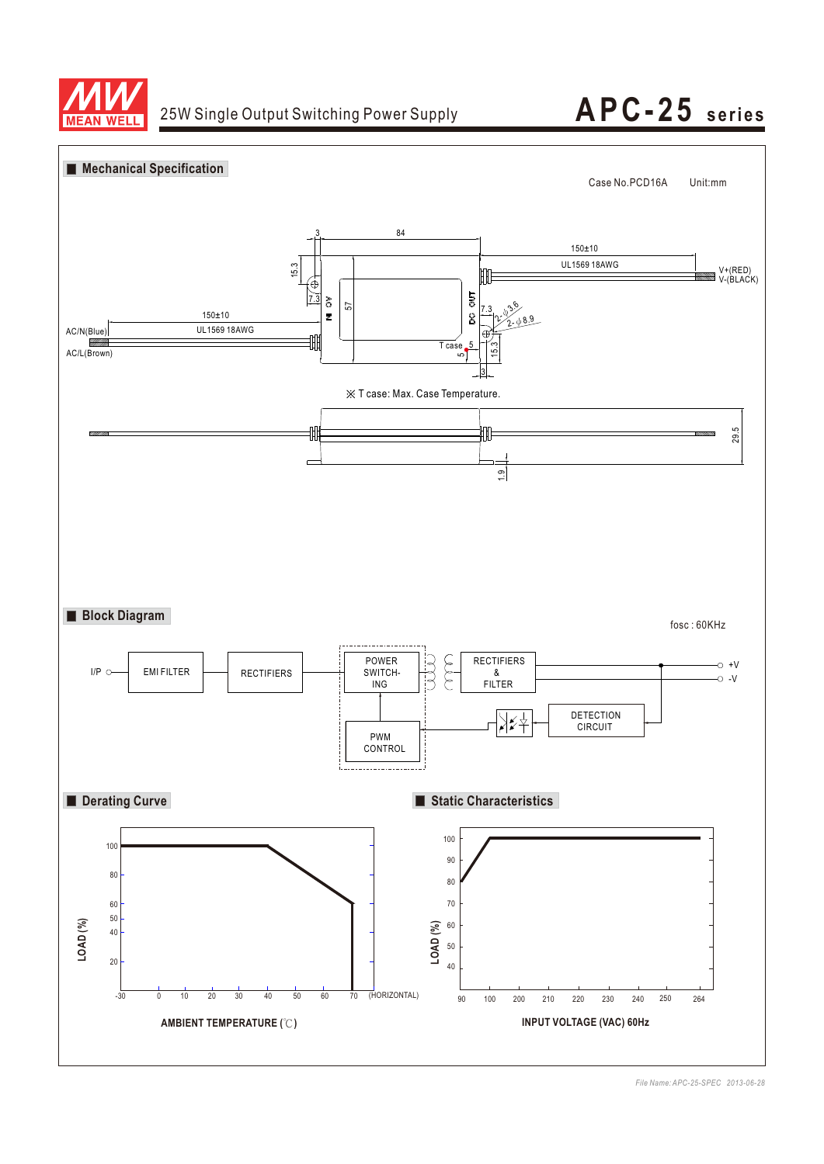



*File Name: APC-25-SPEC 2013-06-28*